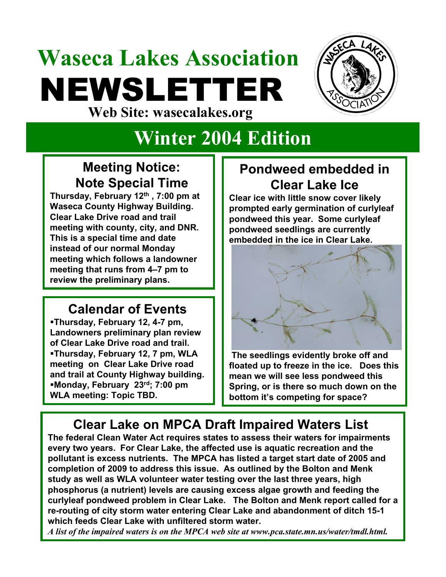# **Waseca Lakes Association** NEWSLETTER **Web Site: wasecalakes.org**



## **Winter 2004 Edition**

#### **Meeting Notice: Note Special Time**

**Thursday, February 12th , 7:00 pm at Waseca County Highway Building. Clear Lake Drive road and trail meeting with county, city, and DNR. This is a special time and date instead of our normal Monday meeting which follows a landowner meeting that runs from 4–7 pm to review the preliminary plans.**

#### **Calendar of Events**

**Thursday, February 12, 4-7 pm, Landowners preliminary plan review of Clear Lake Drive road and trail. Thursday, February 12, 7 pm, WLA meeting on Clear Lake Drive road and trail at County Highway building. Monday, February 23rd; 7:00 pm WLA meeting: Topic TBD.**

#### **Pondweed embedded in Clear Lake Ice**

**Clear ice with little snow cover likely prompted early germination of curlyleaf pondweed this year. Some curlyleaf pondweed seedlings are currently embedded in the ice in Clear Lake.** 



**The seedlings evidently broke off and floated up to freeze in the ice. Does this mean we will see less pondweed this Spring, or is there so much down on the bottom it's competing for space?**

### **Clear Lake on MPCA Draft Impaired Waters List**

**The federal Clean Water Act requires states to assess their waters for impairments every two years. For Clear Lake, the affected use is aquatic recreation and the pollutant is excess nutrients. The MPCA has listed a target start date of 2005 and completion of 2009 to address this issue. As outlined by the Bolton and Menk study as well as WLA volunteer water testing over the last three years, high phosphorus (a nutrient) levels are causing excess algae growth and feeding the curlyleaf pondweed problem in Clear Lake. The Bolton and Menk report called for a re-routing of city storm water entering Clear Lake and abandonment of ditch 15-1 which feeds Clear Lake with unfiltered storm water.** 

*A list of the impaired waters is on the MPCA web site at www.pca.state.mn.us/water/tmdl.html.*